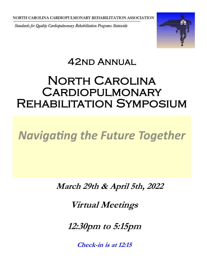Standards for Quality Cardiopulmonary Rehabilitation Programs Statewide



# 42nd Annual Ī

# North Carolina **CARDIOPULMONARY** Rehabilitation Symposium

# *Navigating the Future Together*

**March 29th & April 5th, 2022**

**Virtual Meetings**

**12:30pm to 5:15pm**

**Check-in is at 12:15**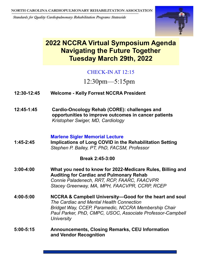Standards for Quality Cardiopulmonary Rehabilitation Programs Statewide



## **2022 NCCRA Virtual Symposium Agenda Navigating the Future Together Tuesday March 29th, 2022**

## CHECK-IN AT 12:15

12:30pm—5:15pm

- **12:30-12:45 Welcome - Kelly Forrest NCCRA President**
- **12:45-1:45 Cardio-Oncology Rehab (CORE): challenges and opportunities to improve outcomes in cancer patients** *Kristopher Swiger, MD, Cardiology*

#### **Marlene Sigler Memorial Lecture**

**1:45-2:45 Implications of Long COVID in the Rehabilitation Setting** *Stephen P. Bailey, PT, PhD, FACSM, Professor*

### **Break 2:45-3:00**

- **3:00-4:00 What you need to know for 2022-Medicare Rules, Billing and Auditing for Cardiac and Pulmonary Rehab** *Connie Paladenech, RRT, RCP, FAARC, FAACVPR Stacey Greenway, MA, MPH, FAACVPR, CCRP, RCEP*
- **4:00-5:00 NCCRA & Campbell University—Good for the heart and soul** *The Cardiac and Mental Health Connection Bridget Way, CCEP, Paramedic, NCCRA Membership Chair Paul Parker, PhD, CMPC, USOC, Associate Professor-Campbell University*
- **5:00-5:15 Announcements, Closing Remarks, CEU Information and Vendor Recognition**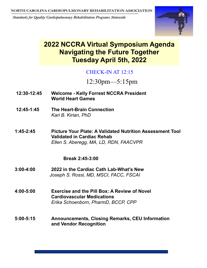Standards for Quality Cardiopulmonary Rehabilitation Programs Statewide



## **2022 NCCRA Virtual Symposium Agenda Navigating the Future Together Tuesday April 5th, 2022**

## CHECK-IN AT 12:15

12:30pm—5:15pm

- **12:30-12:45 Welcome - Kelly Forrest NCCRA President World Heart Games**
- **12:45-1:45 The Heart-Brain Connection** *Kari B. Kirian, PhD*
- **1:45-2:45 Picture Your Plate: A Validated Nutrition Assessment Tool Validated in Cardiac Rehab** *Ellen S. Aberegg, MA, LD, RDN, FAACVPR*

### **Break 2:45-3:00**

- **3:00-4:00 2022 in the Cardiac Cath Lab-What's New** *Joseph S. Rossi, MD, MSCI, FACC, FSCAI*
- **4:00-5:00 Exercise and the Pill Box: A Review of Novel Cardiovascular Medications** *Erika Schoenborn, PharmD, BCCP, CPP*
- **5:00-5:15 Announcements, Closing Remarks, CEU Information and Vendor Recognition**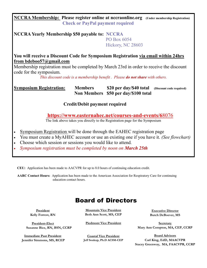#### **NCCRA Membership: Please register online at nccraonline.org (Under membership Registration) Check or PayPal payment required**

**NCCRA Yearly Membership \$50 payable to: NCCRA**  PO Box 6054 Hickory, NC 28603

**You will receive a Discount Code for Symposium Registration via email within 24hrs from bdeboo57@gmail.com**

Membership registration must be completed by March 23rd in order to receive the discount code for the symposium.

*This discount code is a membership benefit . Please do not share with others.*

**Symposium Registration:** Members \$20 per day/\$40 total (Discount code required)  **Non Members \$50 per day/\$100 total**

**Credit/Debit payment required**

**[https://www.easternahec.net/courses](https://www.easternahec.net/courses-and-events/65636)-and-events/6**8076

The link above takes you directly to the Registration page for the Symposium

- Symposium Registration will be done through the EAHEC registration page
- You must create a MyAHEC account or use an existing one if you have it. *(See flowchart)*
- Choose which session or sessions you would like to attend*.*
- *Symposium registration must be completed by noon on March 25th*

**CEU:** Application has been made to AACVPR for up to 8.0 hours of continuing education credit.

**AARC Contact Hours:** Application has been made to the American Association for Respiratory Care for continuing education contact hours.

## Board of Directors

**President Kelly Forrest, RN**

**President-Elect Susanne Bice, RN, BSN, CCRP**

**Immediate Past President Jennifer Simmons, MS, RCEP**

**Mountain Vice President Beth Ann Scott, MS, CEP**

**Piedmont Vice President**

**Coastal Vice President Jeff Soukup, Ph.D ACSM-CEP**

**Executive Director Butch DeBoever, MS**

**Secretary Mary Ann Compton, MA, CEP, CCRP**

**Board Advisors Carl King, EdD, MAACVPR Stacey Greenway, MA, FAACVPR, CCRP**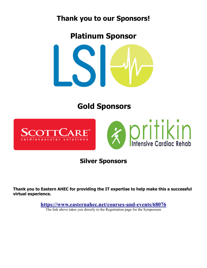## **Thank you to our Sponsors!**

**Platinum Sponsor**



# **Gold Sponsors**





## **Silver Sponsors**

**Thank you to Eastern AHEC for providing the IT expertise to help make this a successful virtual experience.**

**[https://www.easternahec.net/courses](https://www.easternahec.net/courses-and-events/68076)-and-events/68076**

The link above takes you directly to the Registration page for the Symposium